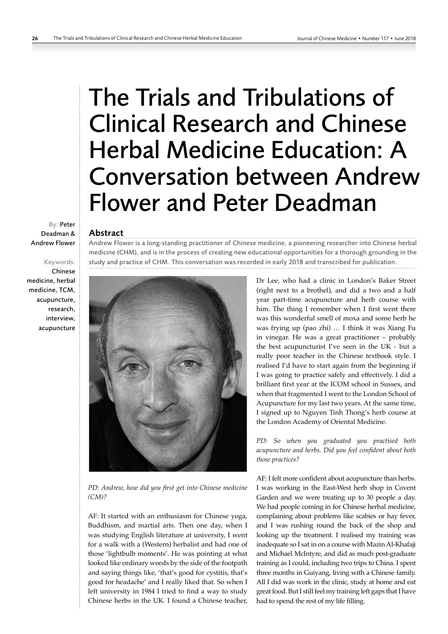# The Trials and Tribulations of Clinical Research and Chinese Herbal Medicine Education: A Conversation between Andrew Flower and Peter Deadman

# Abstract

Andrew Flower is a long-standing practitioner of Chinese medicine, a pioneering researcher into Chinese herbal medicine (CHM), and is in the process of creating new educational opportunities for a thorough grounding in the study and practice of CHM. This conversation was recorded in early 2018 and transcribed for publication.



*PD: Andrew, how did you first get into Chinese medicine (CM)?*

AF: It started with an enthusiasm for Chinese yoga, Buddhism, and martial arts. Then one day, when I was studying English literature at university, I went for a walk with a (Western) herbalist and had one of those 'lightbulb moments'. He was pointing at what looked like ordinary weeds by the side of the footpath and saying things like, 'that's good for cystitis, that's good for headache' and I really liked that. So when I left university in 1984 I tried to find a way to study Chinese herbs in the UK. I found a Chinese teacher, Dr Lee, who had a clinic in London's Baker Street (right next to a brothel), and did a two and a half year part-time acupuncture and herb course with him. The thing I remember when I first went there was this wonderful smell of moxa and some herb he was frying up (pao zhi) … I think it was Xiang Fu in vinegar. He was a great practitioner – probably the best acupuncturist I've seen in the UK - but a really poor teacher in the Chinese textbook style. I realised I'd have to start again from the beginning if I was going to practice safely and effectively. I did a brilliant first year at the ICOM school in Sussex, and when that fragmented I went to the London School of Acupuncture for my last two years. At the same time, I signed up to Nguyen Tinh Thong's herb course at the London Academy of Oriental Medicine.

*PD: So when you graduated you practised both acupuncture and herbs. Did you feel confident about both those practices?*

AF: I felt more confident about acupuncture than herbs. I was working in the East-West herb shop in Covent Garden and we were treating up to 30 people a day. We had people coming in for Chinese herbal medicine, complaining about problems like scabies or hay fever, and I was rushing round the back of the shop and looking up the treatment. I realised my training was inadequate so I sat in on a course with Mazin Al-Khafaji and Michael McIntyre, and did as much post-graduate training as I could, including two trips to China. I spent three months in Guiyang, living with a Chinese family. All I did was work in the clinic, study at home and eat great food. But I still feel my training left gaps that I have had to spend the rest of my life filling.

By: Peter Deadman & Andrew Flower

# Keywords: Chinese medicine, herbal medicine, TCM, acupuncture, research, interview, acupuncture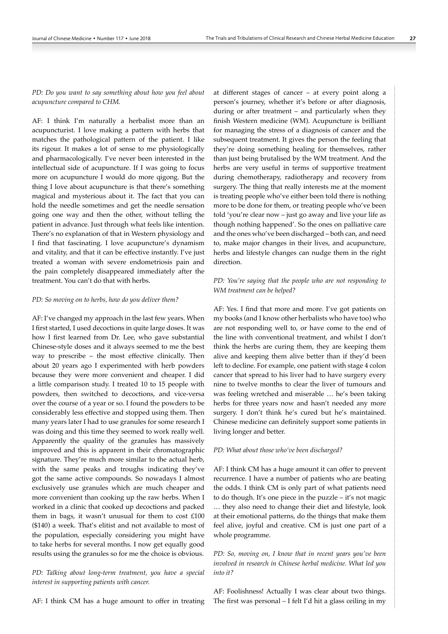*PD: Do you want to say something about how you feel about acupuncture compared to CHM.*

AF: I think I'm naturally a herbalist more than an acupuncturist. I love making a pattern with herbs that matches the pathological pattern of the patient. I like its rigour. It makes a lot of sense to me physiologically and pharmacologically. I've never been interested in the intellectual side of acupuncture. If I was going to focus more on acupuncture I would do more qigong. But the thing I love about acupuncture is that there's something magical and mysterious about it. The fact that you can hold the needle sometimes and get the needle sensation going one way and then the other, without telling the patient in advance. Just through what feels like intention. There's no explanation of that in Western physiology and I find that fascinating. I love acupuncture's dynamism and vitality, and that it can be effective instantly. I've just treated a woman with severe endometriosis pain and the pain completely disappeared immediately after the treatment. You can't do that with herbs.

## *PD: So moving on to herbs, how do you deliver them?*

AF: I've changed my approach in the last few years. When I first started, I used decoctions in quite large doses. It was how I first learned from Dr. Lee, who gave substantial Chinese-style doses and it always seemed to me the best way to prescribe – the most effective clinically. Then about 20 years ago I experimented with herb powders because they were more convenient and cheaper. I did a little comparison study. I treated 10 to 15 people with powders, then switched to decoctions, and vice-versa over the course of a year or so. I found the powders to be considerably less effective and stopped using them. Then many years later I had to use granules for some research I was doing and this time they seemed to work really well. Apparently the quality of the granules has massively improved and this is apparent in their chromatographic signature. They're much more similar to the actual herb, with the same peaks and troughs indicating they've got the same active compounds. So nowadays I almost exclusively use granules which are much cheaper and more convenient than cooking up the raw herbs. When I worked in a clinic that cooked up decoctions and packed them in bags, it wasn't unusual for them to cost £100 (\$140) a week. That's elitist and not available to most of the population, especially considering you might have to take herbs for several months. I now get equally good results using the granules so for me the choice is obvious.

*PD: Talking about long-term treatment, you have a special interest in supporting patients with cancer.*

AF: I think CM has a huge amount to offer in treating

at different stages of cancer – at every point along a person's journey, whether it's before or after diagnosis, during or after treatment – and particularly when they finish Western medicine (WM). Acupuncture is brilliant for managing the stress of a diagnosis of cancer and the subsequent treatment. It gives the person the feeling that they're doing something healing for themselves, rather than just being brutalised by the WM treatment. And the herbs are very useful in terms of supportive treatment during chemotherapy, radiotherapy and recovery from surgery. The thing that really interests me at the moment is treating people who've either been told there is nothing more to be done for them, or treating people who've been told 'you're clear now – just go away and live your life as though nothing happened'. So the ones on palliative care and the ones who've been discharged – both can, and need to, make major changes in their lives, and acupuncture, herbs and lifestyle changes can nudge them in the right direction.

## *PD: You're saying that the people who are not responding to WM treatment can be helped?*

AF: Yes. I find that more and more. I've got patients on my books (and I know other herbalists who have too) who are not responding well to, or have come to the end of the line with conventional treatment, and whilst I don't think the herbs are curing them, they are keeping them alive and keeping them alive better than if they'd been left to decline. For example, one patient with stage 4 colon cancer that spread to his liver had to have surgery every nine to twelve months to clear the liver of tumours and was feeling wretched and miserable … he's been taking herbs for three years now and hasn't needed any more surgery. I don't think he's cured but he's maintained. Chinese medicine can definitely support some patients in living longer and better.

#### *PD: What about those who've been discharged?*

AF: I think CM has a huge amount it can offer to prevent recurrence. I have a number of patients who are beating the odds. I think CM is only part of what patients need to do though. It's one piece in the puzzle – it's not magic … they also need to change their diet and lifestyle, look at their emotional patterns, do the things that make them feel alive, joyful and creative. CM is just one part of a whole programme.

*PD: So, moving on, I know that in recent years you've been involved in research in Chinese herbal medicine. What led you into it?*

AF: Foolishness! Actually I was clear about two things. The first was personal – I felt I'd hit a glass ceiling in my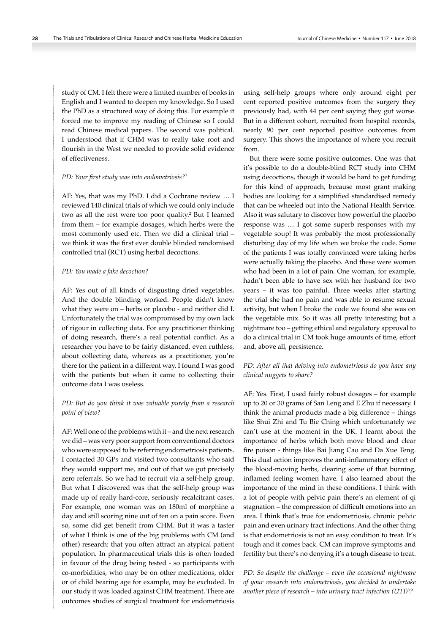study of CM. I felt there were a limited number of books in English and I wanted to deepen my knowledge. So I used the PhD as a structured way of doing this. For example it forced me to improve my reading of Chinese so I could read Chinese medical papers. The second was political. I understood that if CHM was to really take root and flourish in the West we needed to provide solid evidence of effectiveness.

## *PD: Your first study was into endometriosis?<sup>1</sup>*

AF: Yes, that was my PhD. I did a Cochrane review … I reviewed 140 clinical trials of which we could only include two as all the rest were too poor quality.2 But I learned from them – for example dosages, which herbs were the most commonly used etc. Then we did a clinical trial – we think it was the first ever double blinded randomised controlled trial (RCT) using herbal decoctions.

#### *PD: You made a fake decoction?*

AF: Yes out of all kinds of disgusting dried vegetables. And the double blinding worked. People didn't know what they were on – herbs or placebo - and neither did I. Unfortunately the trial was compromised by my own lack of rigour in collecting data. For any practitioner thinking of doing research, there's a real potential conflict. As a researcher you have to be fairly distanced, even ruthless, about collecting data, whereas as a practitioner, you're there for the patient in a different way. I found I was good with the patients but when it came to collecting their outcome data I was useless.

## *PD: But do you think it was valuable purely from a research point of view?*

AF: Well one of the problems with it – and the next research we did – was very poor support from conventional doctors who were supposed to be referring endometriosis patients. I contacted 30 GPs and visited two consultants who said they would support me, and out of that we got precisely zero referrals. So we had to recruit via a self-help group. But what I discovered was that the self-help group was made up of really hard-core, seriously recalcitrant cases. For example, one woman was on 180ml of morphine a day and still scoring nine out of ten on a pain score. Even so, some did get benefit from CHM. But it was a taster of what I think is one of the big problems with CM (and other) research: that you often attract an atypical patient population. In pharmaceutical trials this is often loaded in favour of the drug being tested - so participants with co-morbidities, who may be on other medications, older or of child bearing age for example, may be excluded. In our study it was loaded against CHM treatment. There are outcomes studies of surgical treatment for endometriosis

using self-help groups where only around eight per cent reported positive outcomes from the surgery they previously had, with 44 per cent saying they got worse. But in a different cohort, recruited from hospital records, nearly 90 per cent reported positive outcomes from surgery. This shows the importance of where you recruit from.

But there were some positive outcomes. One was that it's possible to do a double-blind RCT study into CHM using decoctions, though it would be hard to get funding for this kind of approach, because most grant making bodies are looking for a simplified standardised remedy that can be wheeled out into the National Health Service. Also it was salutary to discover how powerful the placebo response was … I got some superb responses with my vegetable soup! It was probably the most professionally disturbing day of my life when we broke the code. Some of the patients I was totally convinced were taking herbs were actually taking the placebo. And these were women who had been in a lot of pain. One woman, for example, hadn't been able to have sex with her husband for two years – it was too painful. Three weeks after starting the trial she had no pain and was able to resume sexual activity, but when I broke the code we found she was on the vegetable mix. So it was all pretty interesting but a nightmare too – getting ethical and regulatory approval to do a clinical trial in CM took huge amounts of time, effort and, above all, persistence.

## *PD: After all that delving into endometriosis do you have any clinical nuggets to share?*

AF: Yes. First, I used fairly robust dosages – for example up to 20 or 30 grams of San Leng and E Zhu if necessary. I think the animal products made a big difference – things like Shui Zhi and Tu Bie Ching which unfortunately we can't use at the moment in the UK. I learnt about the importance of herbs which both move blood and clear fire poison - things like Bai Jiang Cao and Da Xue Teng. This dual action improves the anti-inflammatory effect of the blood-moving herbs, clearing some of that burning, inflamed feeling women have. I also learned about the importance of the mind in these conditions. I think with a lot of people with pelvic pain there's an element of qi stagnation – the compression of difficult emotions into an area. I think that's true for endometriosis, chronic pelvic pain and even urinary tract infections. And the other thing is that endometriosis is not an easy condition to treat. It's tough and it comes back. CM can improve symptoms and fertility but there's no denying it's a tough disease to treat.

*PD: So despite the challenge – even the occasional nightmare of your research into endometriosis, you decided to undertake another piece of research – into urinary tract infection (UTI)<sup>3</sup> ?*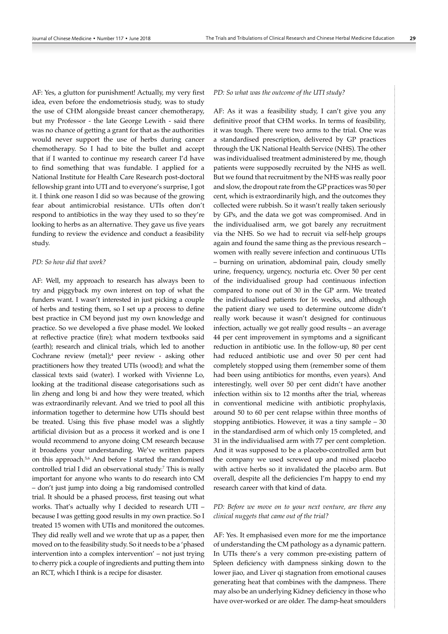AF: Yes, a glutton for punishment! Actually, my very first idea, even before the endometriosis study, was to study the use of CHM alongside breast cancer chemotherapy, but my Professor - the late George Lewith - said there was no chance of getting a grant for that as the authorities would never support the use of herbs during cancer chemotherapy. So I had to bite the bullet and accept that if I wanted to continue my research career I'd have to find something that was fundable. I applied for a National Institute for Health Care Research post-doctoral fellowship grant into UTI and to everyone's surprise, I got it. I think one reason I did so was because of the growing fear about antimicrobial resistance. UTIs often don't respond to antibiotics in the way they used to so they're looking to herbs as an alternative. They gave us five years funding to review the evidence and conduct a feasibility study.

## *PD: So how did that work?*

AF: Well, my approach to research has always been to try and piggyback my own interest on top of what the funders want. I wasn't interested in just picking a couple of herbs and testing them, so I set up a process to define best practice in CM beyond just my own knowledge and practice. So we developed a five phase model. We looked at reflective practice (fire); what modern textbooks said (earth); research and clinical trials, which led to another Cochrane review (metal);<sup>4</sup> peer review - asking other practitioners how they treated UTIs (wood); and what the classical texts said (water). I worked with Vivienne Lo, looking at the traditional disease categorisations such as lin zheng and long bi and how they were treated, which was extraordinarily relevant. And we tried to pool all this information together to determine how UTIs should best be treated. Using this five phase model was a slightly artificial division but as a process it worked and is one I would recommend to anyone doing CM research because it broadens your understanding. We've written papers on this approach.<sup>5,6</sup> And before I started the randomised controlled trial I did an observational study.7 This is really important for anyone who wants to do research into CM – don't just jump into doing a big randomised controlled trial. It should be a phased process, first teasing out what works. That's actually why I decided to research UTI – because I was getting good results in my own practice. So I treated 15 women with UTIs and monitored the outcomes. They did really well and we wrote that up as a paper, then moved on to the feasibility study. So it needs to be a 'phased intervention into a complex intervention' – not just trying to cherry pick a couple of ingredients and putting them into an RCT, which I think is a recipe for disaster.

#### *PD: So what was the outcome of the UTI study?*

AF: As it was a feasibility study, I can't give you any definitive proof that CHM works. In terms of feasibility, it was tough. There were two arms to the trial. One was a standardised prescription, delivered by GP practices through the UK National Health Service (NHS). The other was individualised treatment administered by me, though patients were supposedly recruited by the NHS as well. But we found that recruitment by the NHS was really poor and slow, the dropout rate from the GP practices was 50 per cent, which is extraordinarily high, and the outcomes they collected were rubbish. So it wasn't really taken seriously by GPs, and the data we got was compromised. And in the individualised arm, we got barely any recruitment via the NHS. So we had to recruit via self-help groups again and found the same thing as the previous research – women with really severe infection and continuous UTIs – burning on urination, abdominal pain, cloudy smelly urine, frequency, urgency, nocturia etc. Over 50 per cent of the individualised group had continuous infection compared to none out of 30 in the GP arm. We treated the individualised patients for 16 weeks, and although the patient diary we used to determine outcome didn't really work because it wasn't designed for continuous infection, actually we got really good results – an average 44 per cent improvement in symptoms and a significant reduction in antibiotic use. In the follow-up, 80 per cent had reduced antibiotic use and over 50 per cent had completely stopped using them (remember some of them had been using antibiotics for months, even years). And interestingly, well over 50 per cent didn't have another infection within six to 12 months after the trial, whereas in conventional medicine with antibiotic prophylaxis, around 50 to 60 per cent relapse within three months of stopping antibiotics. However, it was a tiny sample – 30 in the standardised arm of which only 15 completed, and 31 in the individualised arm with 77 per cent completion. And it was supposed to be a placebo-controlled arm but the company we used screwed up and mixed placebo with active herbs so it invalidated the placebo arm. But overall, despite all the deficiencies I'm happy to end my research career with that kind of data.

## *PD: Before we move on to your next venture, are there any clinical nuggets that came out of the trial?*

AF: Yes. It emphasised even more for me the importance of understanding the CM pathology as a dynamic pattern. In UTIs there's a very common pre-existing pattern of Spleen deficiency with dampness sinking down to the lower jiao, and Liver qi stagnation from emotional causes generating heat that combines with the dampness. There may also be an underlying Kidney deficiency in those who have over-worked or are older. The damp-heat smoulders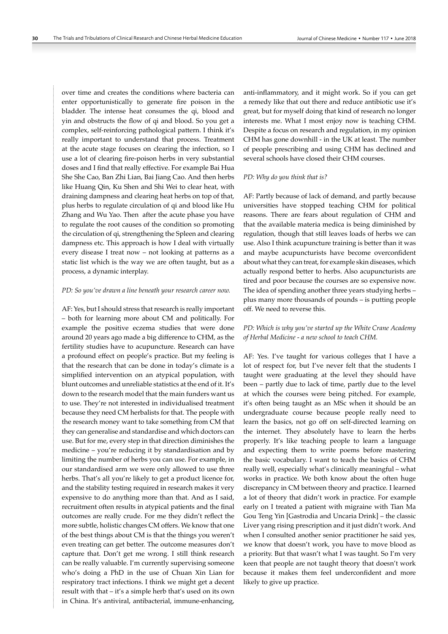over time and creates the conditions where bacteria can enter opportunistically to generate fire poison in the bladder. The intense heat consumes the qi, blood and yin and obstructs the flow of qi and blood. So you get a complex, self-reinforcing pathological pattern. I think it's really important to understand that process. Treatment at the acute stage focuses on clearing the infection, so I use a lot of clearing fire-poison herbs in very substantial doses and I find that really effective. For example Bai Hua She She Cao, Ban Zhi Lian, Bai Jiang Cao. And then herbs like Huang Qin, Ku Shen and Shi Wei to clear heat, with draining dampness and clearing heat herbs on top of that, plus herbs to regulate circulation of qi and blood like Hu Zhang and Wu Yao. Then after the acute phase you have to regulate the root causes of the condition so promoting the circulation of qi, strengthening the Spleen and clearing dampness etc. This approach is how I deal with virtually every disease I treat now – not looking at patterns as a static list which is the way we are often taught, but as a process, a dynamic interplay.

#### *PD: So you've drawn a line beneath your research career now.*

AF: Yes, but I should stress that research is really important – both for learning more about CM and politically. For example the positive eczema studies that were done around 20 years ago made a big difference to CHM, as the fertility studies have to acupuncture. Research can have a profound effect on people's practice. But my feeling is that the research that can be done in today's climate is a simplified intervention on an atypical population, with blunt outcomes and unreliable statistics at the end of it. It's down to the research model that the main funders want us to use. They're not interested in individualised treatment because they need CM herbalists for that. The people with the research money want to take something from CM that they can generalise and standardise and which doctors can use. But for me, every step in that direction diminishes the medicine – you're reducing it by standardisation and by limiting the number of herbs you can use. For example, in our standardised arm we were only allowed to use three herbs. That's all you're likely to get a product licence for, and the stability testing required in research makes it very expensive to do anything more than that. And as I said, recruitment often results in atypical patients and the final outcomes are really crude. For me they didn't reflect the more subtle, holistic changes CM offers. We know that one of the best things about CM is that the things you weren't even treating can get better. The outcome measures don't capture that. Don't get me wrong. I still think research can be really valuable. I'm currently supervising someone who's doing a PhD in the use of Chuan Xin Lian for respiratory tract infections. I think we might get a decent result with that – it's a simple herb that's used on its own in China. It's antiviral, antibacterial, immune-enhancing,

anti-inflammatory, and it might work. So if you can get a remedy like that out there and reduce antibiotic use it's great, but for myself doing that kind of research no longer interests me. What I most enjoy now is teaching CHM. Despite a focus on research and regulation, in my opinion CHM has gone downhill - in the UK at least. The number of people prescribing and using CHM has declined and several schools have closed their CHM courses.

## *PD: Why do you think that is?*

AF: Partly because of lack of demand, and partly because universities have stopped teaching CHM for political reasons. There are fears about regulation of CHM and that the available materia medica is being diminished by regulation, though that still leaves loads of herbs we can use. Also I think acupuncture training is better than it was and maybe acupuncturists have become overconfident about what they can treat, for example skin diseases, which actually respond better to herbs. Also acupuncturists are tired and poor because the courses are so expensive now. The idea of spending another three years studying herbs – plus many more thousands of pounds – is putting people off. We need to reverse this.

## *PD: Which is why you've started up the White Crane Academy of Herbal Medicine - a new school to teach CHM.*

AF: Yes. I've taught for various colleges that I have a lot of respect for, but I've never felt that the students I taught were graduating at the level they should have been – partly due to lack of time, partly due to the level at which the courses were being pitched. For example, it's often being taught as an MSc when it should be an undergraduate course because people really need to learn the basics, not go off on self-directed learning on the internet. They absolutely have to learn the herbs properly. It's like teaching people to learn a language and expecting them to write poems before mastering the basic vocabulary. I want to teach the basics of CHM really well, especially what's clinically meaningful – what works in practice. We both know about the often huge discrepancy in CM between theory and practice. I learned a lot of theory that didn't work in practice. For example early on I treated a patient with migraine with Tian Ma Gou Teng Yin [Gastrodia and Uncaria Drink] – the classic Liver yang rising prescription and it just didn't work. And when I consulted another senior practitioner he said yes, we know that doesn't work, you have to move blood as a priority. But that wasn't what I was taught. So I'm very keen that people are not taught theory that doesn't work because it makes them feel underconfident and more likely to give up practice.